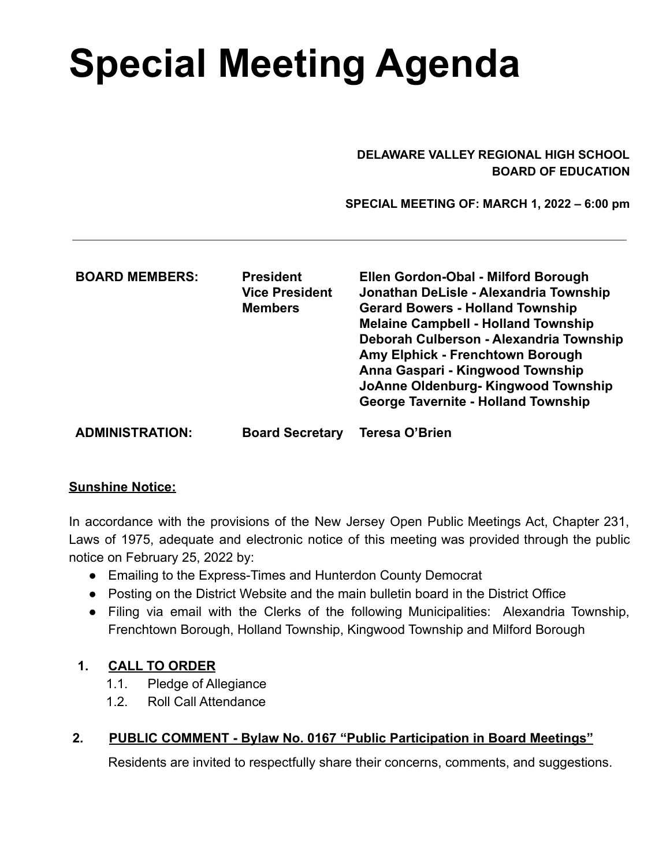# **Special Meeting Agenda**

#### **DELAWARE VALLEY REGIONAL HIGH SCHOOL BOARD OF EDUCATION**

 **SPECIAL MEETING OF: MARCH 1, 2022 – 6:00 pm**

| <b>BOARD MEMBERS:</b>  | <b>President</b><br><b>Vice President</b><br><b>Members</b> | Ellen Gordon-Obal - Milford Borough<br>Jonathan DeLisle - Alexandria Township<br><b>Gerard Bowers - Holland Township</b><br><b>Melaine Campbell - Holland Township</b><br>Deborah Culberson - Alexandria Township<br>Amy Elphick - Frenchtown Borough<br>Anna Gaspari - Kingwood Township<br>JoAnne Oldenburg-Kingwood Township<br><b>George Tavernite - Holland Township</b> |
|------------------------|-------------------------------------------------------------|-------------------------------------------------------------------------------------------------------------------------------------------------------------------------------------------------------------------------------------------------------------------------------------------------------------------------------------------------------------------------------|
| <b>ADMINISTRATION:</b> | <b>Board Secretary</b>                                      | Teresa O'Brien                                                                                                                                                                                                                                                                                                                                                                |

### **Sunshine Notice:**

In accordance with the provisions of the New Jersey Open Public Meetings Act, Chapter 231, Laws of 1975, adequate and electronic notice of this meeting was provided through the public notice on February 25, 2022 by:

- Emailing to the Express-Times and Hunterdon County Democrat
- Posting on the District Website and the main bulletin board in the District Office
- Filing via email with the Clerks of the following Municipalities: Alexandria Township, Frenchtown Borough, Holland Township, Kingwood Township and Milford Borough

### **1. CALL TO ORDER**

- 1.1. Pledge of Allegiance
- 1.2. Roll Call Attendance

## **2. PUBLIC COMMENT - Bylaw No. 0167 "Public Participation in Board Meetings"**

Residents are invited to respectfully share their concerns, comments, and suggestions.